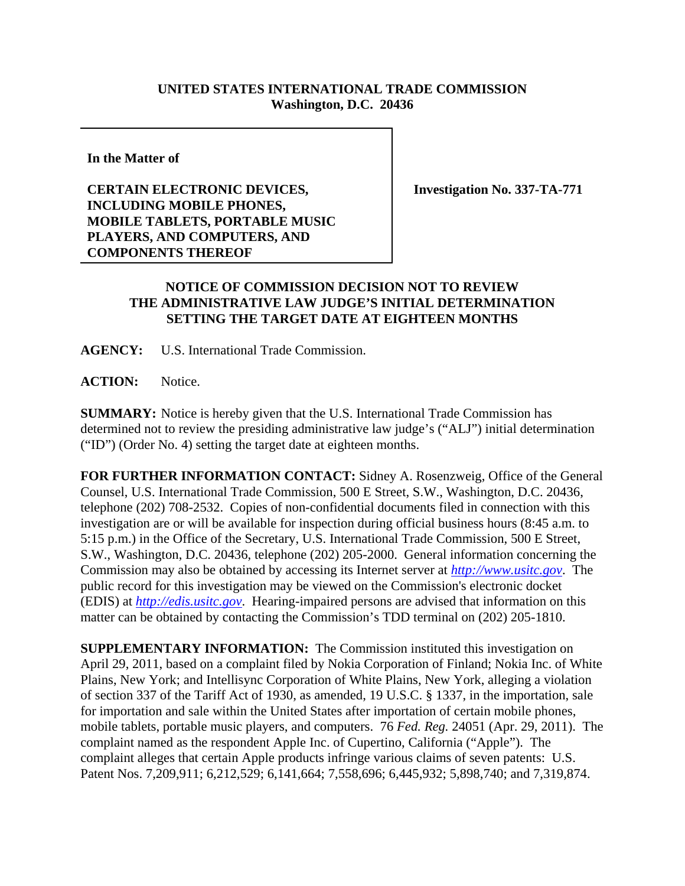## **UNITED STATES INTERNATIONAL TRADE COMMISSION Washington, D.C. 20436**

**In the Matter of**

**CERTAIN ELECTRONIC DEVICES, INCLUDING MOBILE PHONES, MOBILE TABLETS, PORTABLE MUSIC PLAYERS, AND COMPUTERS, AND COMPONENTS THEREOF**

**Investigation No. 337-TA-771**

## **NOTICE OF COMMISSION DECISION NOT TO REVIEW THE ADMINISTRATIVE LAW JUDGE'S INITIAL DETERMINATION SETTING THE TARGET DATE AT EIGHTEEN MONTHS**

**AGENCY:** U.S. International Trade Commission.

**ACTION:** Notice.

**SUMMARY:** Notice is hereby given that the U.S. International Trade Commission has determined not to review the presiding administrative law judge's ("ALJ") initial determination ("ID") (Order No. 4) setting the target date at eighteen months.

**FOR FURTHER INFORMATION CONTACT:** Sidney A. Rosenzweig, Office of the General Counsel, U.S. International Trade Commission, 500 E Street, S.W., Washington, D.C. 20436, telephone (202) 708-2532. Copies of non-confidential documents filed in connection with this investigation are or will be available for inspection during official business hours (8:45 a.m. to 5:15 p.m.) in the Office of the Secretary, U.S. International Trade Commission, 500 E Street, S.W., Washington, D.C. 20436, telephone (202) 205-2000. General information concerning the Commission may also be obtained by accessing its Internet server at *http://www.usitc.gov*. The public record for this investigation may be viewed on the Commission's electronic docket (EDIS) at *http://edis.usitc.gov*. Hearing-impaired persons are advised that information on this matter can be obtained by contacting the Commission's TDD terminal on (202) 205-1810.

**SUPPLEMENTARY INFORMATION:** The Commission instituted this investigation on April 29, 2011, based on a complaint filed by Nokia Corporation of Finland; Nokia Inc. of White Plains, New York; and Intellisync Corporation of White Plains, New York, alleging a violation of section 337 of the Tariff Act of 1930, as amended, 19 U.S.C. § 1337, in the importation, sale for importation and sale within the United States after importation of certain mobile phones, mobile tablets, portable music players, and computers. 76 *Fed. Reg.* 24051 (Apr. 29, 2011). The complaint named as the respondent Apple Inc. of Cupertino, California ("Apple"). The complaint alleges that certain Apple products infringe various claims of seven patents: U.S. Patent Nos. 7,209,911; 6,212,529; 6,141,664; 7,558,696; 6,445,932; 5,898,740; and 7,319,874.